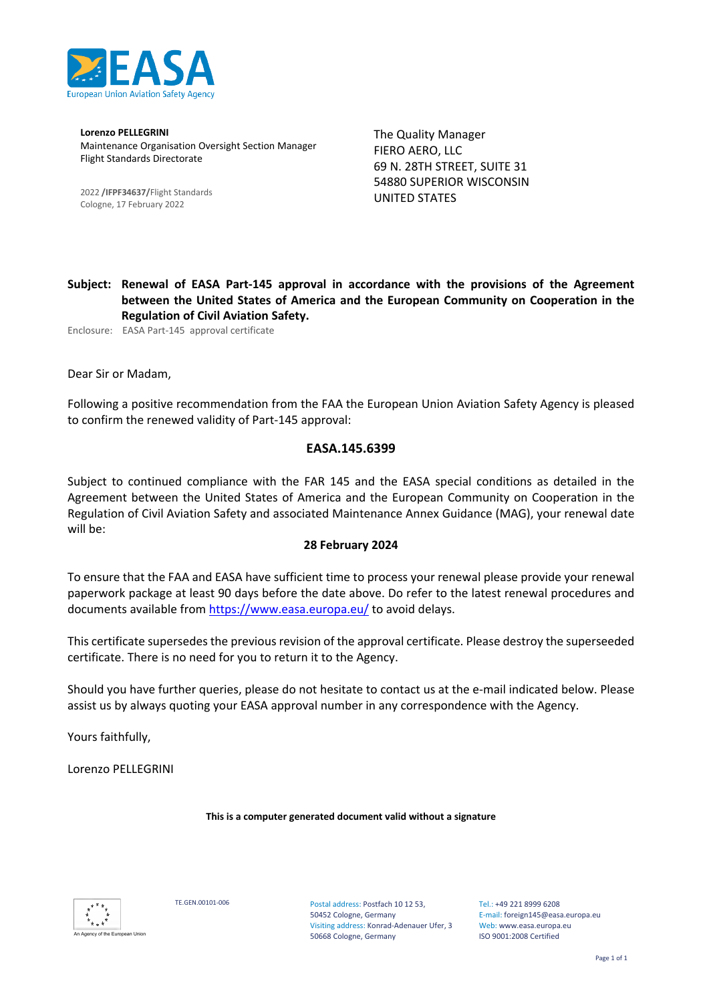

**Lorenzo PELLEGRINI** Maintenance Organisation Oversight Section Manager Flight Standards Directorate

2022 **/IFPF34637/**Flight Standards Cologne, 17 February 2022

The Quality Manager FIERO AERO, LLC 69 N. 28TH STREET, SUITE 31 54880 SUPERIOR WISCONSIN UNITED STATES

**Subject: Renewal of EASA Part-145 approval in accordance with the provisions of the Agreement between the United States of America and the European Community on Cooperation in the Regulation of Civil Aviation Safety.**

Enclosure: EASA Part-145 approval certificate

Dear Sir or Madam,

Following a positive recommendation from the FAA the European Union Aviation Safety Agency is pleased to confirm the renewed validity of Part-145 approval:

#### **EASA.145.6399**

Subject to continued compliance with the FAR 145 and the EASA special conditions as detailed in the Agreement between the United States of America and the European Community on Cooperation in the Regulation of Civil Aviation Safety and associated Maintenance Annex Guidance (MAG), your renewal date will be:

#### **28 February 2024**

To ensure that the FAA and EASA have sufficient time to process your renewal please provide your renewal paperwork package at least 90 days before the date above. Do refer to the latest renewal procedures and documents available from <https://www.easa.europa.eu/> to avoid delays.

This certificate supersedes the previous revision of the approval certificate. Please destroy the superseeded certificate. There is no need for you to return it to the Agency.

Should you have further queries, please do not hesitate to contact us at the e-mail indicated below. Please assist us by always quoting your EASA approval number in any correspondence with the Agency.

Yours faithfully,

Lorenzo PELLEGRINI

**This is a computer generated document valid without a signature**



TE.GEN.00101-006 Postal address: Postfach 10 12 53, 50452 Cologne, Germany Visiting address: Konrad-Adenauer Ufer, 3 50668 Cologne, Germany

Tel.: +49 221 8999 6208 E-mail: foreign145@easa.europa.eu Web: www.easa.europa.eu ISO 9001:2008 Certified